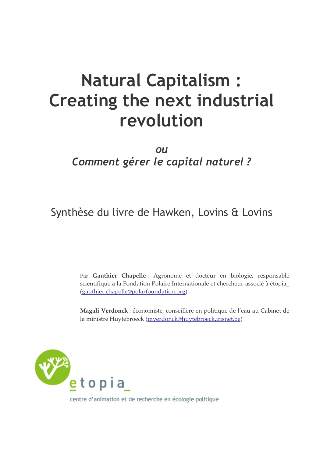# **Natural Capitalism: Creating the next industrial** revolution

## OU Comment gérer le capital naturel ?

Synthèse du livre de Hawken, Lovins & Lovins

Par Gauthier Chapelle: Agronome et docteur en biologie, responsable scientifique à la Fondation Polaire Internationale et chercheur-associé à étopia (gauthier.chapelle@polarfoundation.org)

Magali Verdonck : économiste, conseillère en politique de l'eau au Cabinet de la ministre Huytebroeck (mverdonck@huytebroeck.irisnet.be)



centre d'animation et de recherche en écologie politique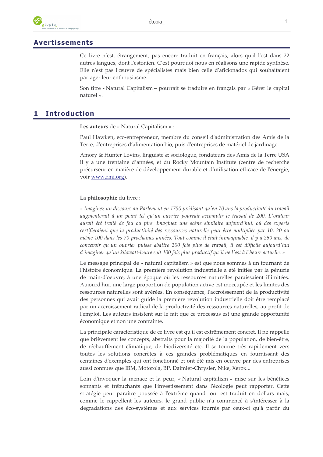## **Avertissements**

Ce livre n'est, étrangement, pas encore traduit en français, alors qu'il l'est dans 22 autres langues, dont l'estonien. C'est pourquoi nous en réalisons une rapide synthèse. Elle n'est pas l'œuvre de spécialistes mais bien celle d'aficionados qui souhaitaient partager leur enthousiasme.

Son titre - Natural Capitalism – pourrait se traduire en français par « Gérer le capital naturel ».

#### **Introduction** 1

Les auteurs de « Natural Capitalism » :

Paul Hawken, eco-entrepreneur, membre du conseil d'administration des Amis de la Terre, d'entreprises d'alimentation bio, puis d'entreprises de matériel de jardinage.

Amory & Hunter Lovins, linguiste & sociologue, fondateurs des Amis de la Terre USA il y a une trentaine d'années, et du Rocky Mountain Institute (centre de recherche précurseur en matière de développement durable et d'utilisation efficace de l'énergie, voir www.rmi.org).

## La philosophie du livre :

« Imaginez un discours au Parlement en 1750 prédisant qu'en 70 ans la productivité du travail augmenterait à un point tel qu'un ouvrier pourrait accomplir le travail de 200. L'orateur aurait été traité de fou ou pire. Imaginez une scène similaire aujourd'hui, où des experts certifieraient que la productivité des ressources naturelle peut être multipliée par 10, 20 ou même 100 dans les 70 prochaines années. Tout comme il était inimaginable, il y a 250 ans, de concevoir qu'un ouvrier puisse abattre 200 fois plus de travail, il est difficile aujourd'hui d'imaginer qu'un kilowatt-heure soit 100 fois plus productif qu'il ne l'est à l'heure actuelle. »

Le message principal de « natural capitalism » est que nous sommes à un tournant de l'histoire économique. La première révolution industrielle a été initiée par la pénurie de main-d'oeuvre, à une époque où les ressources naturelles paraissaient illimitées. Aujourd'hui, une large proportion de population active est inoccupée et les limites des ressources naturelles sont avérées. En conséquence, l'accroissement de la productivité des personnes qui avait guidé la première révolution industrielle doit être remplacé par un accroissement radical de la productivité des ressources naturelles, au profit de l'emploi. Les auteurs insistent sur le fait que ce processus est une grande opportunité économique et non une contrainte.

La principale caractéristique de ce livre est qu'il est extrêmement concret. Il ne rappelle que brièvement les concepts, abstraits pour la majorité de la population, de bien-être, de réchauffement climatique, de biodiversité etc. Il se tourne très rapidement vers toutes les solutions concrètes à ces grandes problématiques en fournissant des centaines d'exemples qui ont fonctionné et ont été mis en oeuvre par des entreprises aussi connues que IBM, Motorola, BP, Daimler-Chrysler, Nike, Xerox...

Loin d'invoquer la menace et la peur, « Natural capitalism » mise sur les bénéfices sonnants et trébuchants que l'investissement dans l'écologie peut rapporter. Cette stratégie peut paraître poussée à l'extrême quand tout est traduit en dollars mais, comme le rappellent les auteurs, le grand public n'a commencé à s'intéresser à la dégradations des éco-systèmes et aux services fournis par ceux-ci qu'à partir du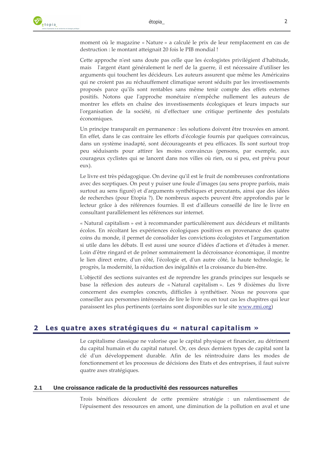moment où le magazine « Nature » a calculé le prix de leur remplacement en cas de destruction : le montant atteignait 20 fois le PIB mondial !

Cette approche n'est sans doute pas celle que les écologistes privilégient d'habitude, l'argent étant généralement le nerf de la guerre, il est nécessaire d'utiliser les mais arguments qui touchent les décideurs. Les auteurs assurent que même les Américains qui ne croient pas au réchauffement climatique seront séduits par les investissements proposés parce qu'ils sont rentables sans même tenir compte des effets externes positifs. Notons que l'approche monétaire n'empêche nullement les auteurs de montrer les effets en chaîne des investissements écologiques et leurs impacts sur l'organisation de la société, ni d'effectuer une critique pertinente des postulats économiques.

Un principe transparaît en permanence : les solutions doivent être trouvées en amont. En effet, dans le cas contraire les efforts d'écologie fournis par quelques convaincus, dans un système inadapté, sont décourageants et peu efficaces. Ils sont surtout trop peu séduisants pour attirer les moins convaincus (pensons, par exemple, aux courageux cyclistes qui se lancent dans nos villes où rien, ou si peu, est prévu pour  $eux)$ 

Le livre est très pédagogique. On devine qu'il est le fruit de nombreuses confrontations avec des sceptiques. On peut y puiser une foule d'images (au sens propre parfois, mais surtout au sens figuré) et d'arguments synthétiques et percutants, ainsi que des idées de recherches (pour Etopia ?). De nombreux aspects peuvent être approfondis par le lecteur grâce à des références fournies. Il est d'ailleurs conseillé de lire le livre en consultant parallèlement les références sur internet.

« Natural capitalism » est à recommander particulièrement aux décideurs et militants écolos. En récoltant les expériences écologiques positives en provenance des quatre coins du monde, il permet de consolider les convictions écologistes et l'argumentation si utile dans les débats. Il est aussi une source d'idées d'actions et d'études à mener. Loin d'être ringard et de prôner sommairement la décroissance économique, il montre le lien direct entre, d'un côté, l'écologie et, d'un autre côté, la haute technologie, le progrès, la modernité, la réduction des inégalités et la croissance du bien-être.

L'objectif des sections suivantes est de reprendre les grands principes sur lesquels se base la réflexion des auteurs de « Natural capitalism ». Les 9 dixièmes du livre concernent des exemples concrets, difficiles à synthétiser. Nous ne pouvons que conseiller aux personnes intéressées de lire le livre ou en tout cas les chapitres qui leur paraissent les plus pertinents (certains sont disponibles sur le site www.rmi.org)

#### 2 Les quatre axes stratégiques du « natural capitalism »

Le capitalisme classique ne valorise que le capital physique et financier, au détriment du capital humain et du capital naturel. Or, ces deux derniers types de capital sont la clé d'un développement durable. Afin de les réintroduire dans les modes de fonctionnement et les processus de décisions des Etats et des entreprises, il faut suivre quatre axes stratégiques.

#### $2.1$ Une croissance radicale de la productivité des ressources naturelles

Trois bénéfices découlent de cette première stratégie : un ralentissement de l'épuisement des ressources en amont, une diminution de la pollution en aval et une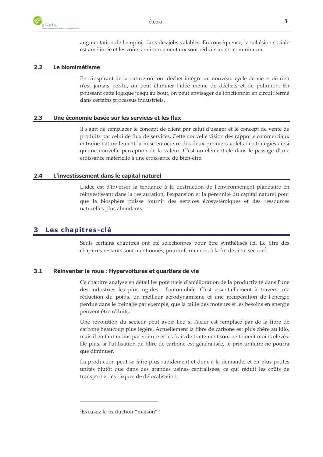

augmentation de l'emploi, dans des jobs valables. En conséquence, la cohésion sociale est améliorée et les coûts environnementaux sont réduits au strict minimum.

#### Le biomimétisme  $2.2$

En s'inspirant de la nature où tout déchet intègre un nouveau cycle de vie et où rien n'est jamais perdu, on peut éliminer l'idée même de déchets et de pollution. En poussant cette logique jusqu'au bout, on peut envisager de fonctionner en circuit fermé dans certains processus industriels.

#### Une économie basée sur les services et les flux  $2.3$

Il s'agit de remplacer le concept de client par celui d'usager et le concept de vente de produits par celui de flux de services. Cette nouvelle vision des rapports commerciaux entraîne naturellement la mise en oeuvre des deux premiers volets de stratégies ainsi qu'une nouvelle perception de la valeur. C'est un élément-clé dans le passage d'une croissance matérielle à une croissance du bien-être.

#### L'investissement dans le capital naturel  $2.4$

L'idée est d'inverser la tendance à la destruction de l'environnement planétaire en réinvestissant dans la restauration, l'expansion et la pérennité du capital naturel pour que la biosphère puisse fournir des services écosystémiques et des ressources naturelles plus abondants.

#### Les chapitres-clé 3

Seuls certains chapitres ont été sélectionnés pour être synthétisés ici. Le titre des chapitres restants sont mentionnés, pour information, à la fin de cette section'.

#### $3.1$ Réinventer la roue : Hypervoitures et quartiers de vie

Ce chapitre analyse en détail les potentiels d'amélioration de la productivité dans l'une des industries les plus rigides : l'automobile. C'est essentiellement à travers une réduction du poids, un meilleur aérodynamisme et une récupération de l'énergie perdue dans le freinage par exemple, que la taille des moteurs et les besoins en énergie peuvent être réduits.

Une révolution du secteur peut avoir lieu si l'acier est remplacé par de la fibre de carbone beaucoup plus légère. Actuellement la fibre de carbone est plus chère au kilo, mais il en faut moins par voiture et les frais de traitement sont nettement moins élevés. De plus, si l'utilisation de fibre de carbone est généralisée, le prix unitaire ne pourra que diminuer.

La production peut se faire plus rapidement et donc à la demande, et en plus petites unités plutôt que dans des grandes usines centralisées, ce qui réduit les coûts de transport et les risques de délocalisation.

<sup>&</sup>lt;sup>1</sup>Excusez la traduction "maison" !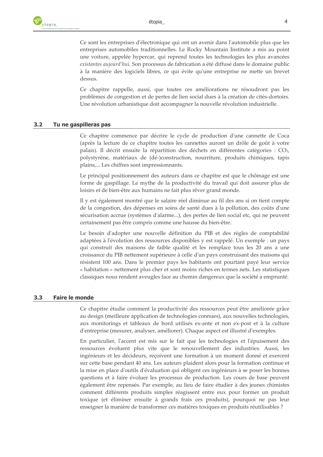Ce sont les entreprises d'électronique qui ont un avenir dans l'automobile plus que les entreprises automobiles traditionnelles. Le Rocky Mountain Institute a mis au point une voiture, appelée hypercar, qui reprend toutes les technologies les plus avancées existantes aujourd'hui. Son processus de fabrication a été diffusé dans le domaine public à la manière des logiciels libres, ce qui évite qu'une entreprise ne mette un brevet dessus.

Ce chapitre rappelle, aussi, que toutes ces améliorations ne résoudront pas les problèmes de congestion et de pertes de lien social dues à la création de cités-dortoirs. Une révolution urbanistique doit accompagner la nouvelle révolution industrielle.

#### $3.2$ Tu ne gaspilleras pas

Ce chapitre commence par décrire le cycle de production d'une cannette de Coca (après la lecture de ce chapitre toutes les cannettes auront un drôle de goût à votre palais). Il décrit ensuite la répartition des déchets en différentes catégories : CO2, polystyrène, matériaux de (dé-)construction, nourriture, produits chimiques, tapis plains,... Les chiffres sont impressionnants.

Le principal positionnement des auteurs dans ce chapitre est que le chômage est une forme de gaspillage. Le mythe de la productivité du travail qui doit assurer plus de loisirs et de bien-être aux humains ne fait plus rêver grand monde.

Il y est également montré que le salaire réel diminue au fil des ans si on tient compte de la congestion, des dépenses en soins de santé dues à la pollution, des coûts d'une sécurisation accrue (systèmes d'alarme...), des pertes de lien social etc, qui ne peuvent certainement pas être compris comme une hausse du bien-être.

Le besoin d'adopter une nouvelle définition du PIB et des règles de comptabilité adaptées à l'évolution des ressources disponibles y est rappelé. Un exemple : un pays qui construit des maisons de faible qualité et les remplace tous les 20 ans a une croissance du PIB nettement supérieure à celle d'un pays construisant des maisons qui résistent 100 ans. Dans le premier pays les habitants ont pourtant payé leur service « habitation » nettement plus cher et sont moins riches en termes nets. Les statistiques classiques nous rendent aveugles face au chemin dangereux que la société a emprunté.

#### **Faire le monde**  $3.3$

Ce chapitre étudie comment la productivité des ressources peut être améliorée grâce au design (meilleure application de technologies connues), aux nouvelles technologies, aux monitorings et tableaux de bord utilisés ex-ante et non ex-post et à la culture d'entreprise (mesurer, analyser, améliorer). Chaque aspect est illustré d'exemples.

En particulier, l'accent est mis sur le fait que les technologies et l'épuisement des ressources évoluent plus vite que le renouvellement des industries. Aussi, les ingénieurs et les décideurs, reçoivent une formation à un moment donné et exercent sur cette base pendant 40 ans. Les auteurs plaident alors pour la formation continue et la mise en place d'outils d'évaluation qui obligent ces ingénieurs à se poser les bonnes questions et à faire évoluer les processus de production. Les cours de base peuvent également être repensés. Par exemple, au lieu de faire étudier à des jeunes chimistes comment différents produits simples réagissent entre eux pour former un produit toxique (et éliminer ensuite à grands frais ces produits), pourquoi ne pas leur enseigner la manière de transformer ces matières toxiques en produits réutilisables ?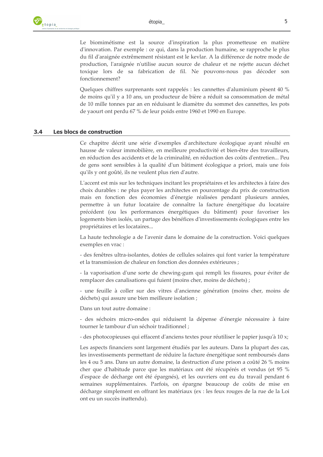Le biomimétisme est la source d'inspiration la plus prometteuse en matière d'innovation. Par exemple : ce qui, dans la production humaine, se rapproche le plus du fil d'araignée extrêmement résistant est le kevlar. A la différence de notre mode de production, l'araignée n'utilise aucun source de chaleur et ne rejette aucun déchet toxique lors de sa fabrication de fil. Ne pouvons-nous pas décoder son fonctionnement?

Quelques chiffres surprenants sont rappelés : les cannettes d'aluminium pèsent 40 % de moins qu'il y a 10 ans, un producteur de bière a réduit sa consommation de métal de 10 mille tonnes par an en réduisant le diamètre du sommet des cannettes, les pots de yaourt ont perdu 67 % de leur poids entre 1960 et 1990 en Europe.

#### Les blocs de construction  $3.4$

Ce chapitre décrit une série d'exemples d'architecture écologique ayant résulté en hausse de valeur immobilière, en meilleure productivité et bien-être des travailleurs, en réduction des accidents et de la criminalité, en réduction des coûts d'entretien... Peu de gens sont sensibles à la qualité d'un bâtiment écologique a priori, mais une fois qu'ils y ont goûté, ils ne veulent plus rien d'autre.

L'accent est mis sur les techniques incitant les propriétaires et les architectes à faire des choix durables : ne plus payer les architectes en pourcentage du prix de construction mais en fonction des économies d'énergie réalisées pendant plusieurs années, permettre à un futur locataire de connaître la facture énergétique du locataire précédent (ou les performances énergétiques du bâtiment) pour favoriser les logements bien isolés, un partage des bénéfices d'investissements écologiques entre les propriétaires et les locataires...

La haute technologie a de l'avenir dans le domaine de la construction. Voici quelques exemples en vrac :

- des fenêtres ultra-isolantes, dotées de cellules solaires qui font varier la température et la transmission de chaleur en fonction des données extérieures ;

- la vaporisation d'une sorte de chewing-gum qui rempli les fissures, pour éviter de remplacer des canalisations qui fuient (moins cher, moins de déchets) ;

- une feuille à coller sur des vitres d'ancienne génération (moins cher, moins de déchets) qui assure une bien meilleure isolation ;

Dans un tout autre domaine :

- des séchoirs micro-ondes qui réduisent la dépense d'énergie nécessaire à faire tourner le tambour d'un séchoir traditionnel;

- des photocopieuses qui effacent d'anciens textes pour réutiliser le papier jusqu'à 10 x;

Les aspects financiers sont largement étudiés par les auteurs. Dans la plupart des cas, les investissements permettant de réduire la facture énergétique sont remboursés dans les 4 ou 5 ans. Dans un autre domaine, la destruction d'une prison a coûté 26 % moins cher que d'habitude parce que les matériaux ont été récupérés et vendus (et 95 % d'espace de décharge ont été épargnés), et les ouvriers ont eu du travail pendant 6 semaines supplémentaires. Parfois, on épargne beaucoup de coûts de mise en décharge simplement en offrant les matériaux (ex : les feux rouges de la rue de la Loi ont eu un succès inattendu).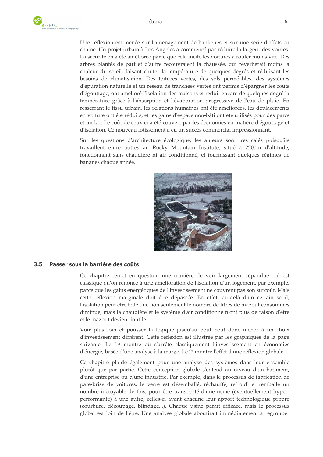Une réflexion est menée sur l'aménagement de banlieues et sur une série d'effets en chaîne. Un projet urbain à Los Angeles a commencé par réduire la largeur des voiries. La sécurité en a été améliorée parce que cela incite les voitures à rouler moins vite. Des arbres plantés de part et d'autre recouvraient la chaussée, qui réverbérait moins la chaleur du soleil, faisant chuter la température de quelques degrés et réduisant les besoins de climatisation. Des toitures vertes, des sols perméables, des systèmes d'épuration naturelle et un réseau de tranchées vertes ont permis d'épargner les coûts d'égouttage, ont amélioré l'isolation des maisons et réduit encore de quelques degré la température grâce à l'absorption et l'évaporation progressive de l'eau de pluie. En resserrant le tissu urbain, les relations humaines ont été améliorées, les déplacements en voiture ont été réduits, et les gains d'espace non-bâti ont été utilisés pour des parcs et un lac. Le coût de ceux-ci a été couvert par les économies en matière d'égouttage et d'isolation. Ce nouveau lotissement a eu un succès commercial impressionnant.

Sur les questions d'architecture écologique, les auteurs sont très calés puisqu'ils travaillent entre autres au Rocky Mountain Institute, situé à 2200 md'altitude, fonctionnant sans chaudière ni air conditionné, et fournissant quelques régimes de bananes chaque année.



#### $3.5$ Passer sous la barrière des coûts

Ce chapitre remet en question une manière de voir largement répandue : il est classique qu'on renonce à une amélioration de l'isolation d'un logement, par exemple, parce que les gains énergétiques de l'investissement ne couvrent pas son surcoût. Mais cette réflexion marginale doit être dépassée. En effet, au-delà d'un certain seuil, l'isolation peut être telle que non seulement le nombre de litres de mazout consommés diminue, mais la chaudière et le système d'air conditionné n'ont plus de raison d'être et le mazout devient inutile.

Voir plus loin et pousser la logique jusqu'au bout peut donc mener à un choix d'investissement différent. Cette réflexion est illustrée par les graphiques de la page suivante. Le 1<sup>er</sup> montre où s'arrête classiquement l'investissement en économies d'énergie, basée d'une analyse à la marge. Le 2<sup>e</sup> montre l'effet d'une réflexion globale.

Ce chapitre plaide également pour une analyse des systèmes dans leur ensemble plutôt que par partie. Cette conception globale s'entend au niveau d'un bâtiment, d'une entreprise ou d'une industrie. Par exemple, dans le processus de fabrication de pare-brise de voitures, le verre est désemballé, réchauffé, refroidi et remballé un nombre incroyable de fois, pour être transporté d'une usine (éventuellement hyperperformante) à une autre, celles-ci ayant chacune leur apport technologique propre (courbure, découpage, blindage...). Chaque usine paraît efficace, mais le processus global est loin de l'être. Une analyse globale aboutirait immédiatement à regrouper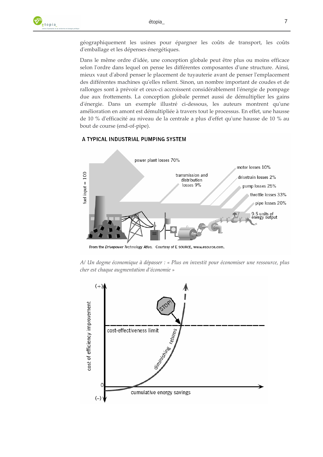géographiquement les usines pour épargner les coûts de transport, les coûts d'emballage et les dépenses énergétiques.

Dans le même ordre d'idée, une conception globale peut être plus ou moins efficace selon l'ordre dans lequel on pense les différentes composantes d'une structure. Ainsi, mieux vaut d'abord penser le placement de tuyauterie avant de penser l'emplacement des différentes machines qu'elles relient. Sinon, un nombre important de coudes et de rallonges sont à prévoir et ceux-ci accroissent considérablement l'énergie de pompage due aux frottements. La conception globale permet aussi de démultiplier les gains d'énergie. Dans un exemple illustré ci-dessous, les auteurs montrent qu'une amélioration en amont est démultipliée à travers tout le processus. En effet, une hausse de 10 % d'efficacité au niveau de la centrale a plus d'effet qu'une hausse de 10 % au bout de course (end-of-pipe).

### A TYPICAL INDUSTRIAL PUMPING SYSTEM



From the Drivepower Technology Atlas. Courtesy of E SOURCE, www.esource.com.

A/ Un dogme économique à dépasser : « Plus on investit pour économiser une ressource, plus cher est chaque augmentation d'économie »

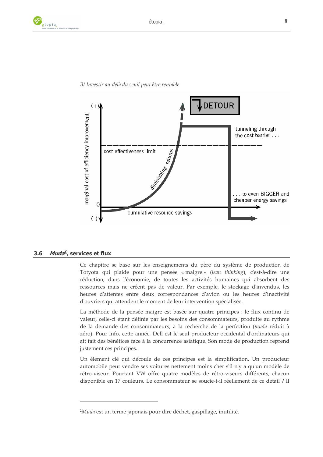

## B/ Investir au-delà du seuil peut être rentable

#### *Muda*<sup>2</sup>, services et flux  $3.6$

Ce chapitre se base sur les enseignements du père du système de production de Totyota qui plaide pour une pensée « maigre » (lean thinking), c'est-à-dire une réduction, dans l'économie, de toutes les activités humaines qui absorbent des ressources mais ne créent pas de valeur. Par exemple, le stockage d'invendus, les heures d'attentes entre deux correspondances d'avion ou les heures d'inactivité d'ouvriers qui attendent le moment de leur intervention spécialisée.

La méthode de la pensée maigre est basée sur quatre principes : le flux continu de valeur, celle-ci étant définie par les besoins des consommateurs, produite au rythme de la demande des consommateurs, à la recherche de la perfection (muda réduit à zéro). Pour info, cette année, Dell est le seul producteur occidental d'ordinateurs qui ait fait des bénéfices face à la concurrence asiatique. Son mode de production reprend justement ces principes.

Un élément clé qui découle de ces principes est la simplification. Un producteur automobile peut vendre ses voitures nettement moins cher s'il n'y a qu'un modèle de rétro-viseur. Pourtant VW offre quatre modèles de rétro-viseurs différents, chacun disponible en 17 couleurs. Le consommateur se soucie-t-il réellement de ce détail ? Il

<sup>&</sup>lt;sup>2</sup>Muda est un terme japonais pour dire déchet, gaspillage, inutilité.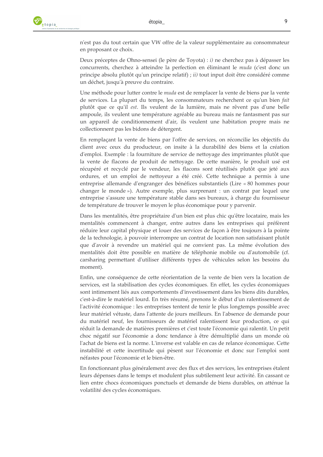n'est pas du tout certain que VW offre de la valeur supplémentaire au consommateur en proposant ce choix.

Deux préceptes de Ohno-sensei (le père de Toyota) : i) ne cherchez pas à dépasser les concurrents, cherchez à atteindre la perfection en éliminant le muda (c'est donc un principe absolu plutôt qu'un principe relatif) ; ii) tout input doit être considéré comme un déchet, jusqu'à preuve du contraire.

Une méthode pour lutter contre le muda est de remplacer la vente de biens par la vente de services. La plupart du temps, les consommateurs recherchent ce qu'un bien fait plutôt que ce qu'il est. Ils veulent de la lumière, mais ne rêvent pas d'une belle ampoule, ils veulent une température agréable au bureau mais ne fantasment pas sur un appareil de conditionnement d'air, ils veulent une habitation propre mais ne collectionnent pas les bidons de détergent.

En remplaçant la vente de biens par l'offre de services, on réconcilie les objectifs du client avec ceux du producteur, on insite à la durabilité des biens et la création d'emploi. Exemple : la fourniture de service de nettoyage des imprimantes plutôt que la vente de flacons de produit de nettoyage. De cette manière, le produit usé est récupéré et recyclé par le vendeur, les flacons sont réutilisés plutôt que jeté aux ordures, et un emploi de nettoyeur a été créé. Cette technique a permis à une entreprise allemande d'engranger des bénéfices substantiels (Lire « 80 hommes pour changer le monde»). Autre exemple, plus surprenant : un contrat par lequel une entreprise s'assure une température stable dans ses bureaux, à charge du fournisseur de température de trouver le moyen le plus économique pour y parvenir.

Dans les mentalités, être propriétaire d'un bien est plus chic qu'être locataire, mais les mentalités commencent à changer, entre autres dans les entreprises qui préfèrent réduire leur capital physique et louer des services de façon à être toujours à la pointe de la technologie, à pouvoir interrompre un contrat de location non satisfaisant plutôt que d'avoir à revendre un matériel qui ne convient pas. La même évolution des mentalités doit être possible en matière de téléphonie mobile ou d'automobile (cf. carsharing permettant d'utiliser différents types de véhicules selon les besoins du moment).

Enfin, une conséquence de cette réorientation de la vente de bien vers la location de services, est la stabilisation des cycles économiques. En effet, les cycles économiques sont intimement liés aux comportements d'investissement dans les biens dits durables, c'est-à-dire le matériel lourd. En très résumé, prenons le début d'un ralentissement de l'activité économique : les entreprises tentent de tenir le plus longtemps possible avec leur matériel vétuste, dans l'attente de jours meilleurs. En l'absence de demande pour du matériel neuf, les fournisseurs de matériel ralentissent leur production, ce qui réduit la demande de matières premières et c'est toute l'économie qui ralentit. Un petit choc négatif sur l'économie a donc tendance à être démultiplié dans un monde où l'achat de biens est la norme. L'inverse est valable en cas de relance économique. Cette instabilité et cette incertitude qui pèsent sur l'économie et donc sur l'emploi sont néfastes pour l'économie et le bien-être.

En fonctionnant plus généralement avec des flux et des services, les entreprises étalent leurs dépenses dans le temps et modulent plus subtilement leur activité. En cassant ce lien entre chocs économiques ponctuels et demande de biens durables, on atténue la volatilité des cycles économiques.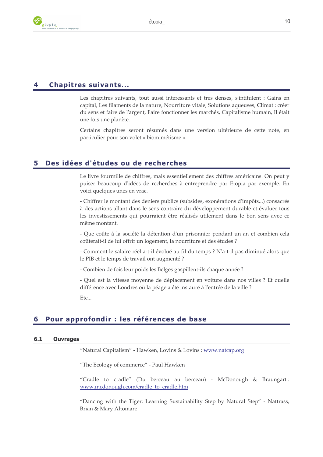

## **Chapitres suivants...**

Les chapitres suivants, tout aussi intéressants et très denses, s'intitulent : Gains en capital, Les filaments de la nature, Nourriture vitale, Solutions aqueuses, Climat : créer du sens et faire de l'argent, Faire fonctionner les marchés, Capitalisme humain, Il était une fois une planète.

Certains chapitres seront résumés dans une version ultérieure de cette note, en particulier pour son volet « biomimétisme ».

#### Des idées d'études ou de recherches 5

Le livre fourmille de chiffres, mais essentiellement des chiffres américains. On peut y puiser beaucoup d'idées de recherches à entreprendre par Etopia par exemple. En voici quelques unes en vrac.

- Chiffrer le montant des deniers publics (subsides, exonérations d'impôts...) consacrés à des actions allant dans le sens contraire du développement durable et évaluer tous les investissements qui pourraient être réalisés utilement dans le bon sens avec ce même montant.

- Que coûte à la société la détention d'un prisonnier pendant un an et combien cela coûterait-il de lui offrir un logement, la nourriture et des études ?

- Comment le salaire réel a-t-il évolué au fil du temps ? N'a-t-il pas diminué alors que le PIB et le temps de travail ont augmenté ?

- Combien de fois leur poids les Belges gaspillent-ils chaque année ?

- Quel est la vitesse moyenne de déplacement en voiture dans nos villes ? Et quelle différence avec Londres où la péage a été instauré à l'entrée de la ville ? Etc...

## Pour approfondir : les références de base

#### $6.1$ **Ouvrages**

"Natural Capitalism" - Hawken, Lovins & Lovins : www.natcap.org

"The Ecology of commerce" - Paul Hawken

"Cradle to cradle" (Du berceau au berceau) - McDonough & Braungart: www.mcdonough.com/cradle\_to\_cradle.htm

"Dancing with the Tiger: Learning Sustainability Step by Natural Step" - Nattrass, Brian & Mary Altomare